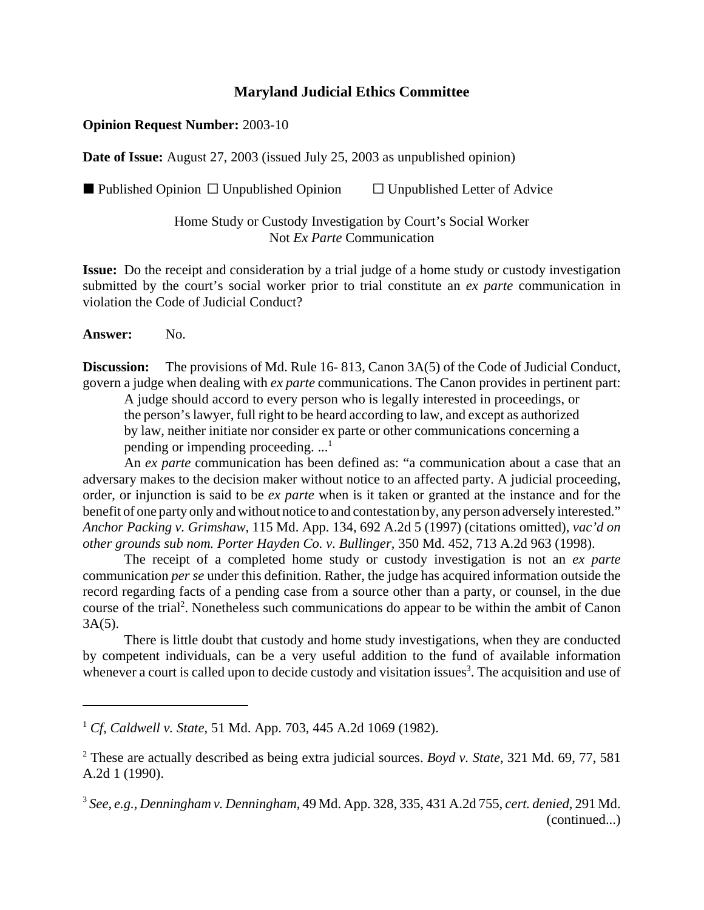## **Maryland Judicial Ethics Committee**

## **Opinion Request Number:** 2003-10

**Date of Issue:** August 27, 2003 (issued July 25, 2003 as unpublished opinion)

Published Opinion  $\Box$  Unpublished Opinion  $\Box$  Unpublished Letter of Advice

Home Study or Custody Investigation by Court's Social Worker Not *Ex Parte* Communication

**Issue:** Do the receipt and consideration by a trial judge of a home study or custody investigation submitted by the court's social worker prior to trial constitute an *ex parte* communication in violation the Code of Judicial Conduct?

**Answer:** No.

**Discussion:** The provisions of Md. Rule 16-813, Canon 3A(5) of the Code of Judicial Conduct, govern a judge when dealing with *ex parte* communications. The Canon provides in pertinent part:

A judge should accord to every person who is legally interested in proceedings, or the person's lawyer, full right to be heard according to law, and except as authorized by law, neither initiate nor consider ex parte or other communications concerning a pending or impending proceeding.  $\ldots$ <sup>1</sup>

An *ex parte* communication has been defined as: "a communication about a case that an adversary makes to the decision maker without notice to an affected party. A judicial proceeding, order, or injunction is said to be *ex parte* when is it taken or granted at the instance and for the benefit of one party only and without notice to and contestation by, any person adversely interested." *Anchor Packing v. Grimshaw,* 115 Md. App. 134, 692 A.2d 5 (1997) (citations omitted), *vac'd on other grounds sub nom. Porter Hayden Co. v. Bullinger,* 350 Md. 452, 713 A.2d 963 (1998).

The receipt of a completed home study or custody investigation is not an *ex parte* communication *per se* under this definition. Rather, the judge has acquired information outside the record regarding facts of a pending case from a source other than a party, or counsel, in the due course of the trial<sup>2</sup>. Nonetheless such communications do appear to be within the ambit of Canon  $3A(5)$ .

There is little doubt that custody and home study investigations, when they are conducted by competent individuals, can be a very useful addition to the fund of available information whenever a court is called upon to decide custody and visitation issues<sup>3</sup>. The acquisition and use of

<sup>1</sup> *Cf*, *Caldwell v. State*, 51 Md. App. 703, 445 A.2d 1069 (1982).

<sup>2</sup> These are actually described as being extra judicial sources. *Boyd v. State*, 321 Md. 69, 77, 581 A.2d 1 (1990).

<sup>3</sup> *See, e.g., Denningham v. Denningham*, 49 Md. App. 328, 335, 431 A.2d 755, *cert. denied*, 291 Md. (continued...)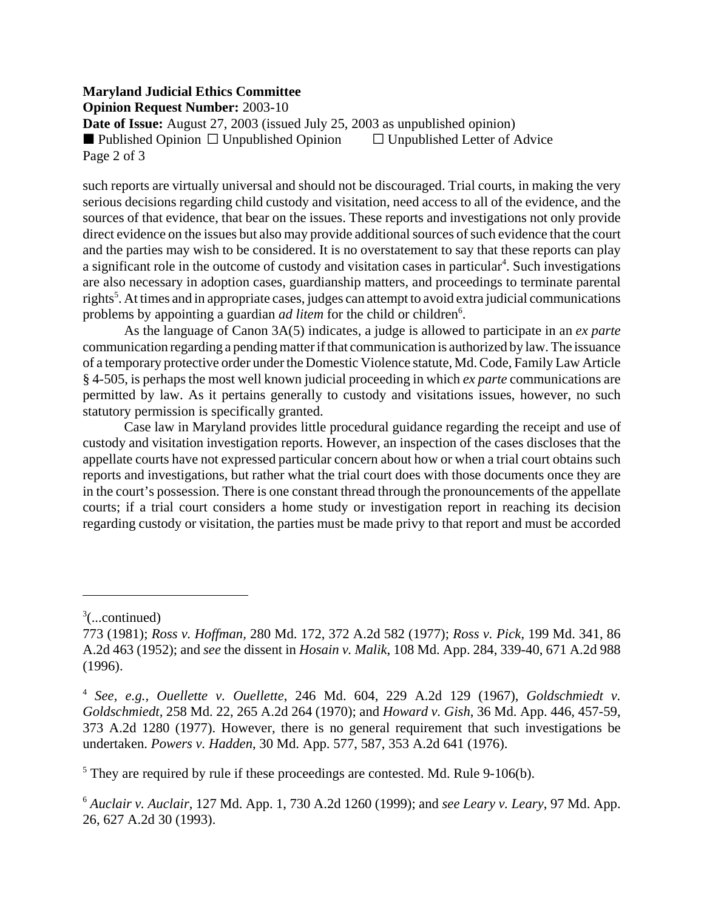## **Maryland Judicial Ethics Committee**

**Opinion Request Number:** 2003-10

**Date of Issue:** August 27, 2003 (issued July 25, 2003 as unpublished opinion)<br>■ Published Opinion □ Unpublished Opinion □ Unpublished Letter of Advice  $\blacksquare$  Published Opinion  $\Box$  Unpublished Opinion Page 2 of 3

such reports are virtually universal and should not be discouraged. Trial courts, in making the very serious decisions regarding child custody and visitation, need access to all of the evidence, and the sources of that evidence, that bear on the issues. These reports and investigations not only provide direct evidence on the issues but also may provide additional sources of such evidence that the court and the parties may wish to be considered. It is no overstatement to say that these reports can play a significant role in the outcome of custody and visitation cases in particular<sup>4</sup>. Such investigations are also necessary in adoption cases, guardianship matters, and proceedings to terminate parental rights<sup>5</sup>. At times and in appropriate cases, judges can attempt to avoid extra judicial communications problems by appointing a guardian *ad litem* for the child or children<sup>6</sup>.

As the language of Canon 3A(5) indicates, a judge is allowed to participate in an *ex parte* communication regarding a pending matter if that communication is authorized by law.The issuance of a temporary protective order under the Domestic Violence statute, Md. Code, Family Law Article § 4-505, is perhaps the most well known judicial proceeding in which *ex parte* communications are permitted by law. As it pertains generally to custody and visitations issues, however, no such statutory permission is specifically granted.

Case law in Maryland provides little procedural guidance regarding the receipt and use of custody and visitation investigation reports. However, an inspection of the cases discloses that the appellate courts have not expressed particular concern about how or when a trial court obtains such reports and investigations, but rather what the trial court does with those documents once they are in the court's possession. There is one constant thread through the pronouncements of the appellate courts; if a trial court considers a home study or investigation report in reaching its decision regarding custody or visitation, the parties must be made privy to that report and must be accorded

 $3$ (...continued)

<sup>773 (1981);</sup> *Ross v. Hoffman,* 280 Md. 172, 372 A.2d 582 (1977); *Ross v. Pick*, 199 Md. 341, 86 A.2d 463 (1952); and *see* the dissent in *Hosain v. Malik*, 108 Md. App. 284, 339-40, 671 A.2d 988 (1996).

<sup>4</sup> *See, e.g., Ouellette v. Ouellette*, 246 Md. 604, 229 A.2d 129 (1967), *Goldschmiedt v. Goldschmiedt,* 258 Md. 22, 265 A.2d 264 (1970); and *Howard v. Gish*, 36 Md. App. 446, 457-59, 373 A.2d 1280 (1977). However, there is no general requirement that such investigations be undertaken. *Powers v. Hadden*, 30 Md. App. 577, 587, 353 A.2d 641 (1976).

 $<sup>5</sup>$  They are required by rule if these proceedings are contested. Md. Rule 9-106(b).</sup>

<sup>6</sup> *Auclair v. Auclair*, 127 Md. App. 1, 730 A.2d 1260 (1999); and *see Leary v. Leary*, 97 Md. App. 26, 627 A.2d 30 (1993).